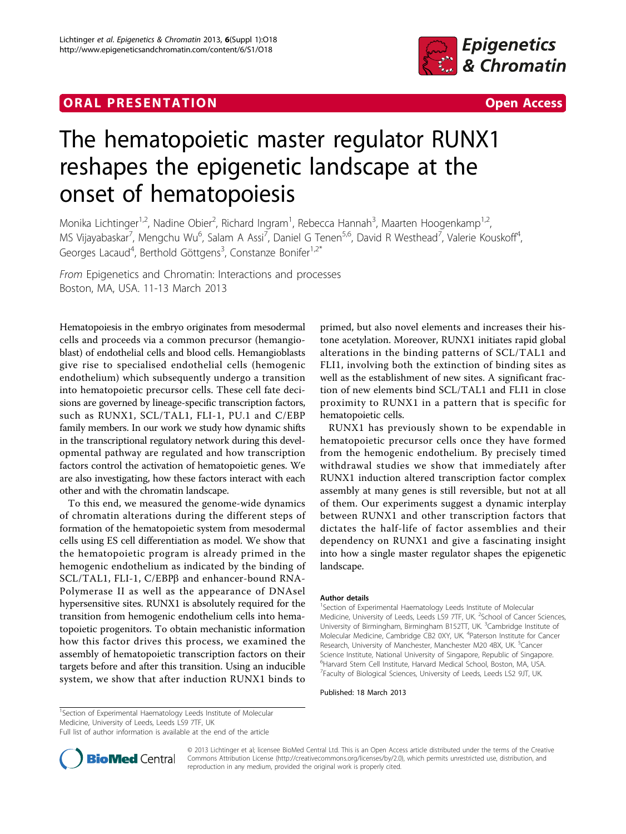## **ORAL PRESENTATION CONSUMING ACCESS**



## The hematopoietic master regulator RUNX1 reshapes the epigenetic landscape at the onset of hematopoiesis

Monika Lichtinger<sup>1,2</sup>, Nadine Obier<sup>2</sup>, Richard Ingram<sup>1</sup>, Rebecca Hannah<sup>3</sup>, Maarten Hoogenkamp<sup>1,2</sup>, MS Vijayabaskar<sup>7</sup>, Mengchu Wu<sup>6</sup>, Salam A Assi<sup>7</sup>, Daniel G Tenen<sup>5,6</sup>, David R Westhead<sup>7</sup>, Valerie Kouskoff<sup>4</sup> , Georges Lacaud<sup>4</sup>, Berthold Göttgens<sup>3</sup>, Constanze Bonifer<sup>1,2\*</sup>

From Epigenetics and Chromatin: Interactions and processes Boston, MA, USA. 11-13 March 2013

Hematopoiesis in the embryo originates from mesodermal cells and proceeds via a common precursor (hemangioblast) of endothelial cells and blood cells. Hemangioblasts give rise to specialised endothelial cells (hemogenic endothelium) which subsequently undergo a transition into hematopoietic precursor cells. These cell fate decisions are governed by lineage-specific transcription factors, such as RUNX1, SCL/TAL1, FLI-1, PU.1 and C/EBP family members. In our work we study how dynamic shifts in the transcriptional regulatory network during this developmental pathway are regulated and how transcription factors control the activation of hematopoietic genes. We are also investigating, how these factors interact with each other and with the chromatin landscape.

To this end, we measured the genome-wide dynamics of chromatin alterations during the different steps of formation of the hematopoietic system from mesodermal cells using ES cell differentiation as model. We show that the hematopoietic program is already primed in the hemogenic endothelium as indicated by the binding of SCL/TAL1, FLI-1, C/EBPß and enhancer-bound RNA-Polymerase II as well as the appearance of DNAsel hypersensitive sites. RUNX1 is absolutely required for the transition from hemogenic endothelium cells into hematopoietic progenitors. To obtain mechanistic information how this factor drives this process, we examined the assembly of hematopoietic transcription factors on their targets before and after this transition. Using an inducible system, we show that after induction RUNX1 binds to

primed, but also novel elements and increases their histone acetylation. Moreover, RUNX1 initiates rapid global alterations in the binding patterns of SCL/TAL1 and FLI1, involving both the extinction of binding sites as well as the establishment of new sites. A significant fraction of new elements bind SCL/TAL1 and FLI1 in close proximity to RUNX1 in a pattern that is specific for hematopoietic cells.

RUNX1 has previously shown to be expendable in hematopoietic precursor cells once they have formed from the hemogenic endothelium. By precisely timed withdrawal studies we show that immediately after RUNX1 induction altered transcription factor complex assembly at many genes is still reversible, but not at all of them. Our experiments suggest a dynamic interplay between RUNX1 and other transcription factors that dictates the half-life of factor assemblies and their dependency on RUNX1 and give a fascinating insight into how a single master regulator shapes the epigenetic landscape.

## Author details

<sup>1</sup>Section of Experimental Haematology Leeds Institute of Molecular Medicine, University of Leeds, Leeds LS9 7TF, UK. <sup>2</sup>School of Cancer Sciences, University of Birmingham, Birmingham B152TT, UK. <sup>3</sup>Cambridge Institute of Molecular Medicine, Cambridge CB2 0XY, UK. <sup>4</sup>Paterson Institute for Cancer Research, University of Manchester, Manchester M20 4BX, UK. <sup>5</sup>Cancer Science Institute, National University of Singapore, Republic of Singapore. 6 Harvard Stem Cell Institute, Harvard Medical School, Boston, MA, USA. <sup>7</sup>Faculty of Biological Sciences, University of Leeds, Leeds LS2 9JT, UK

Published: 18 March 2013

<sup>1</sup>Section of Experimental Haematology Leeds Institute of Molecular Medicine, University of Leeds, Leeds LS9 7TF, UK

Full list of author information is available at the end of the article



© 2013 Lichtinger et al; licensee BioMed Central Ltd. This is an Open Access article distributed under the terms of the Creative Commons Attribution License [\(http://creativecommons.org/licenses/by/2.0](http://creativecommons.org/licenses/by/2.0)), which permits unrestricted use, distribution, and reproduction in any medium, provided the original work is properly cited.